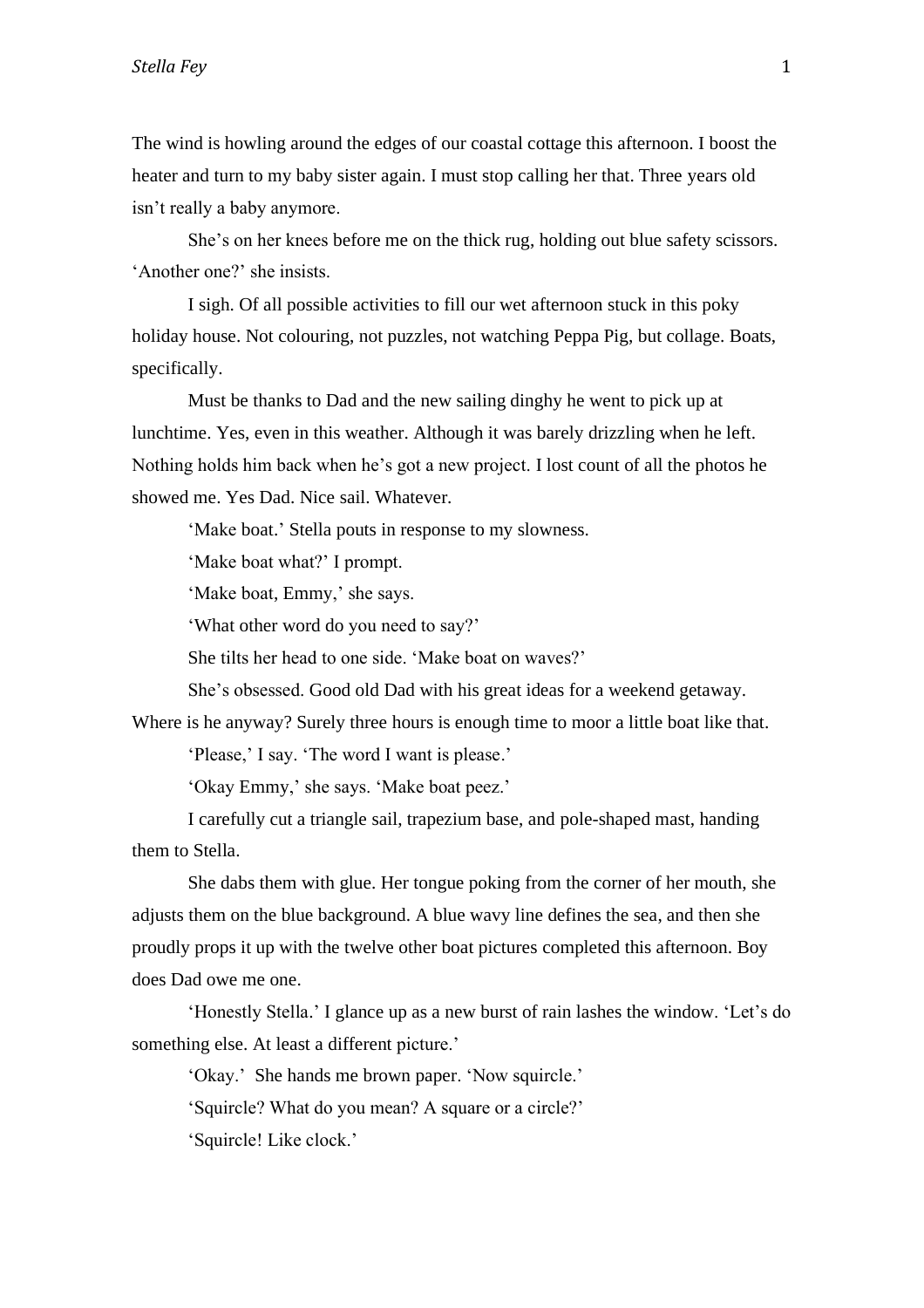The wind is howling around the edges of our coastal cottage this afternoon. I boost the heater and turn to my baby sister again. I must stop calling her that. Three years old isn't really a baby anymore.

She's on her knees before me on the thick rug, holding out blue safety scissors. 'Another one?' she insists.

I sigh. Of all possible activities to fill our wet afternoon stuck in this poky holiday house. Not colouring, not puzzles, not watching Peppa Pig, but collage. Boats, specifically.

Must be thanks to Dad and the new sailing dinghy he went to pick up at lunchtime. Yes, even in this weather. Although it was barely drizzling when he left. Nothing holds him back when he's got a new project. I lost count of all the photos he showed me. Yes Dad. Nice sail. Whatever.

'Make boat.' Stella pouts in response to my slowness.

'Make boat what?' I prompt.

'Make boat, Emmy,' she says.

'What other word do you need to say?'

She tilts her head to one side. 'Make boat on waves?'

She's obsessed. Good old Dad with his great ideas for a weekend getaway.

Where is he anyway? Surely three hours is enough time to moor a little boat like that.

'Please,' I say. 'The word I want is please.'

'Okay Emmy,' she says. 'Make boat peez.'

I carefully cut a triangle sail, trapezium base, and pole-shaped mast, handing them to Stella.

She dabs them with glue. Her tongue poking from the corner of her mouth, she adjusts them on the blue background. A blue wavy line defines the sea, and then she proudly props it up with the twelve other boat pictures completed this afternoon. Boy does Dad owe me one.

'Honestly Stella.' I glance up as a new burst of rain lashes the window. 'Let's do something else. At least a different picture.'

'Okay.' She hands me brown paper. 'Now squircle.'

'Squircle? What do you mean? A square or a circle?'

'Squircle! Like clock.'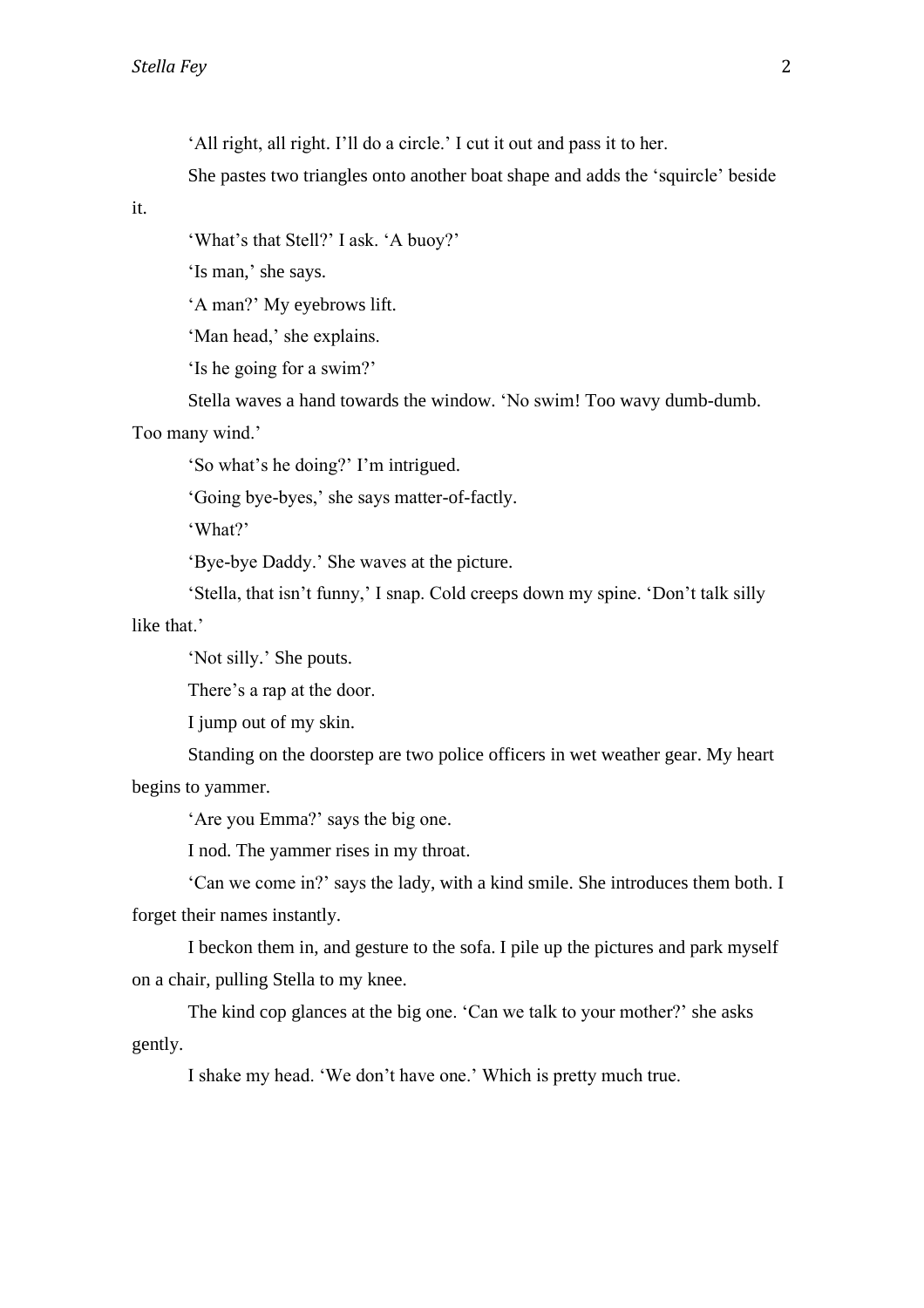'All right, all right. I'll do a circle.' I cut it out and pass it to her.

She pastes two triangles onto another boat shape and adds the 'squircle' beside

it.

'What's that Stell?' I ask. 'A buoy?'

'Is man,' she says.

'A man?' My eyebrows lift.

'Man head,' she explains.

'Is he going for a swim?'

Stella waves a hand towards the window. 'No swim! Too wavy dumb-dumb.

Too many wind.'

'So what's he doing?' I'm intrigued.

'Going bye-byes,' she says matter-of-factly.

'What?'

'Bye-bye Daddy.' She waves at the picture.

'Stella, that isn't funny,' I snap. Cold creeps down my spine. 'Don't talk silly

like that.'

'Not silly.' She pouts.

There's a rap at the door.

I jump out of my skin.

Standing on the doorstep are two police officers in wet weather gear. My heart begins to yammer.

'Are you Emma?' says the big one.

I nod. The yammer rises in my throat.

'Can we come in?' says the lady, with a kind smile. She introduces them both. I forget their names instantly.

I beckon them in, and gesture to the sofa. I pile up the pictures and park myself on a chair, pulling Stella to my knee.

The kind cop glances at the big one. 'Can we talk to your mother?' she asks gently.

I shake my head. 'We don't have one.' Which is pretty much true.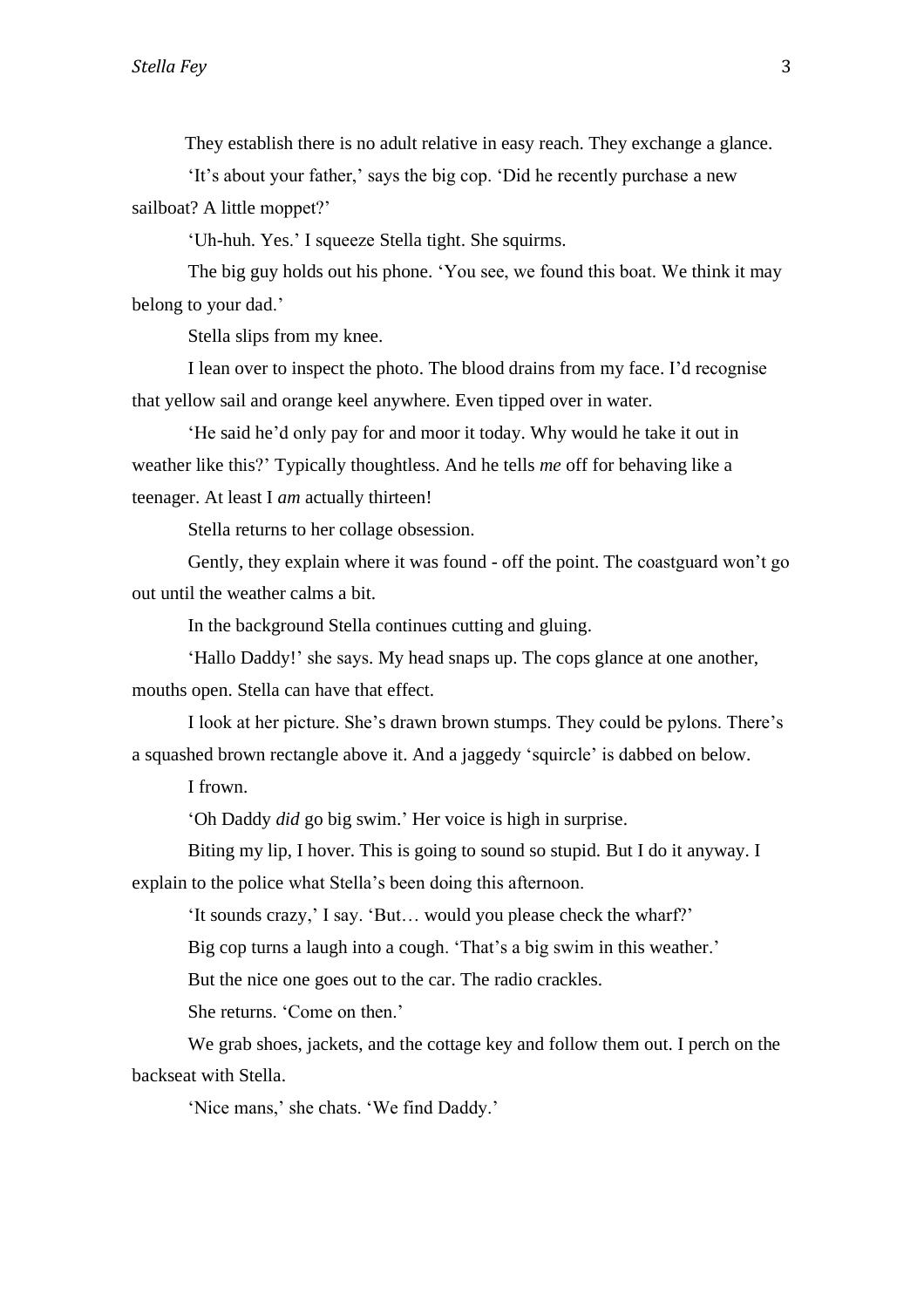They establish there is no adult relative in easy reach. They exchange a glance.

'It's about your father,' says the big cop. 'Did he recently purchase a new sailboat? A little moppet?'

'Uh-huh. Yes.' I squeeze Stella tight. She squirms.

The big guy holds out his phone. 'You see, we found this boat. We think it may belong to your dad.'

Stella slips from my knee.

I lean over to inspect the photo. The blood drains from my face. I'd recognise that yellow sail and orange keel anywhere. Even tipped over in water.

'He said he'd only pay for and moor it today. Why would he take it out in weather like this?' Typically thoughtless. And he tells *me* off for behaving like a teenager. At least I *am* actually thirteen!

Stella returns to her collage obsession.

Gently, they explain where it was found - off the point. The coastguard won't go out until the weather calms a bit.

In the background Stella continues cutting and gluing.

'Hallo Daddy!' she says. My head snaps up. The cops glance at one another, mouths open. Stella can have that effect.

I look at her picture. She's drawn brown stumps. They could be pylons. There's a squashed brown rectangle above it. And a jaggedy 'squircle' is dabbed on below.

I frown.

'Oh Daddy *did* go big swim.' Her voice is high in surprise.

Biting my lip, I hover. This is going to sound so stupid. But I do it anyway. I explain to the police what Stella's been doing this afternoon.

'It sounds crazy,' I say. 'But… would you please check the wharf?'

Big cop turns a laugh into a cough. 'That's a big swim in this weather.'

But the nice one goes out to the car. The radio crackles.

She returns. 'Come on then.'

We grab shoes, jackets, and the cottage key and follow them out. I perch on the backseat with Stella.

'Nice mans,' she chats. 'We find Daddy.'